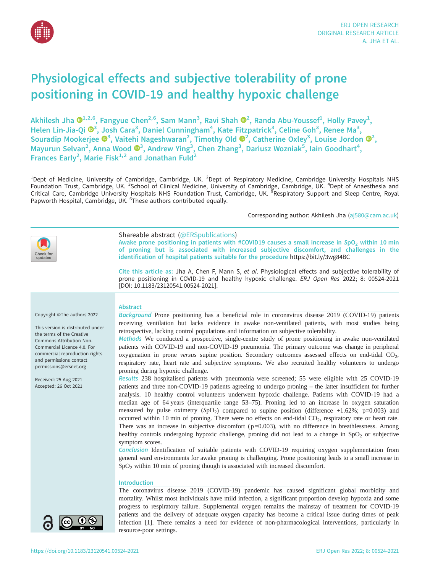

# Physiological effects and subjective tolerability of prone positioning in COVID-19 and healthy hypoxic challenge

Akhilesh Jha  $\mathbf{O}^{1,2,6}$  $\mathbf{O}^{1,2,6}$  $\mathbf{O}^{1,2,6}$ , Fangyue Chen $^{2,6}$ , Sam Mann $^3$ , Ravi Shah  $\mathbf{O}^2$ , Randa Abu-Youssef $^1$ , Holly Pavey $^1$ , Helen Lin-Jia-Qi  $\mathbf{D}^3$  $\mathbf{D}^3$ , Josh Cara<sup>3</sup>, Daniel Cunningham<sup>4</sup>, Kate Fitzpatrick<sup>3</sup>, Celine Goh<sup>3</sup>, Renee Ma<sup>3</sup>, Souradip Mookerjee  $\mathbf{O}^3$  $\mathbf{O}^3$ , Vaitehi Nageshwaran<sup>[2](https://orcid.org/0000-0003-2564-2555)</sup>, Timothy Old  $\mathbf{O}^2$ , Catherine Oxley<sup>3</sup>, Louise Jordon  $\mathbf{O}^2$ , Mayurun Selvan<sup>2</sup>, Anna Wood ®<sup>3</sup>, Andrew Ying<sup>3</sup>, Chen Zhang<sup>3</sup>, Dariusz Wozniak<sup>5</sup>, Iain Goodhart<sup>4</sup>, Frances Early<sup>2</sup>, Marie Fisk<sup>1,2</sup> and Jonathan Fuld<sup>2</sup>

<sup>1</sup>Dept of Medicine, University of Cambridge, Cambridge, UK. <sup>2</sup>Dept of Respiratory Medicine, Cambridge University Hospitals NHS Foundation Trust, Cambridge, UK. <sup>3</sup>School of Clinical Medicine, University of Cambridge, Cambridge, UK. <sup>4</sup>Dept of Anaesthesia and Critical Care, Cambridge University Hospitals NHS Foundation Trust, Cambridge, UK. <sup>5</sup>Respiratory Support and Sleep Centre, Royal Papworth Hospital, Cambridge, UK. <sup>6</sup>These authors contributed equally.

Corresponding author: Akhilesh Jha ([aj580@cam.ac.uk](mailto:aj580@cam.ac.uk))



Shareable abstract (@ERSpublications)

Awake prone positioning in patients with #COVID19 causes a small increase in  $SpO<sub>2</sub>$  within 10 min of proning but is associated with increased subjective discomfort, and challenges in the identification of hospital patients suitable for the procedure <https://bit.ly/3wg84BC>

Cite this article as: Jha A, Chen F, Mann S, et al. Physiological effects and subjective tolerability of prone positioning in COVID-19 and healthy hypoxic challenge. ERJ Open Res 2022; 8: 00524-2021 [\[DOI: 10.1183/23120541.00524-2021\].](https://doi.org/10.1183/23120541.00524-2021)

#### Copyright ©The authors 2022

This version is distributed under the terms of the Creative Commons Attribution Non-Commercial Licence 4.0. For commercial reproduction rights and permissions contact [permissions@ersnet.org](mailto:permissions@ersnet.org)

Received: 25 Aug 2021 Accepted: 26 Oct 2021



Background Prone positioning has a beneficial role in coronavirus disease 2019 (COVID-19) patients receiving ventilation but lacks evidence in awake non-ventilated patients, with most studies being retrospective, lacking control populations and information on subjective tolerability.

Methods We conducted a prospective, single-centre study of prone positioning in awake non-ventilated patients with COVID-19 and non-COVID-19 pneumonia. The primary outcome was change in peripheral oxygenation in prone versus supine position. Secondary outcomes assessed effects on end-tidal  $CO<sub>2</sub>$ , respiratory rate, heart rate and subjective symptoms. We also recruited healthy volunteers to undergo proning during hypoxic challenge.

Results 238 hospitalised patients with pneumonia were screened; 55 were eligible with 25 COVID-19 patients and three non-COVID-19 patients agreeing to undergo proning – the latter insufficient for further analysis. 10 healthy control volunteers underwent hypoxic challenge. Patients with COVID-19 had a median age of 64 years (interquartile range 53–75). Proning led to an increase in oxygen saturation measured by pulse oximetry  $(SpO<sub>2</sub>)$  compared to supine position (difference +1.62%; p=0.003) and occurred within 10 min of proning. There were no effects on end-tidal  $CO<sub>2</sub>$ , respiratory rate or heart rate. There was an increase in subjective discomfort  $(p=0.003)$ , with no difference in breathlessness. Among healthy controls undergoing hypoxic challenge, proning did not lead to a change in  $SpO<sub>2</sub>$  or subjective symptom scores.

Conclusion Identification of suitable patients with COVID-19 requiring oxygen supplementation from general ward environments for awake proning is challenging. Prone positioning leads to a small increase in  $SpO<sub>2</sub>$  within 10 min of proning though is associated with increased discomfort.

#### Introduction

The coronavirus disease 2019 (COVID-19) pandemic has caused significant global morbidity and mortality. Whilst most individuals have mild infection, a significant proportion develop hypoxia and some progress to respiratory failure. Supplemental oxygen remains the mainstay of treatment for COVID-19 patients and the delivery of adequate oxygen capacity has become a critical issue during times of peak infection [\[1\]](#page-10-0). There remains a need for evidence of non-pharmacological interventions, particularly in resource-poor settings.

 $\mathbf{\Theta}(i)$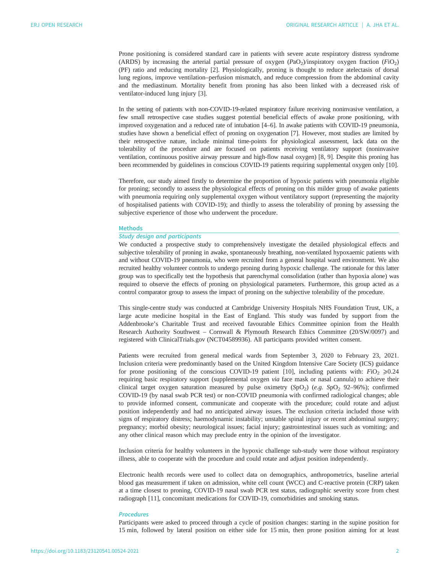Prone positioning is considered standard care in patients with severe acute respiratory distress syndrome (ARDS) by increasing the arterial partial pressure of oxygen (PaO<sub>2</sub>)/inspiratory oxygen fraction (FiO<sub>2</sub>) (PF) ratio and reducing mortality [[2](#page-10-0)]. Physiologically, proning is thought to reduce atelectasis of dorsal lung regions, improve ventilation–perfusion mismatch, and reduce compression from the abdominal cavity and the mediastinum. Mortality benefit from proning has also been linked with a decreased risk of ventilator-induced lung injury [[3](#page-10-0)].

In the setting of patients with non-COVID-19-related respiratory failure receiving noninvasive ventilation, a few small retrospective case studies suggest potential beneficial effects of awake prone positioning, with improved oxygenation and a reduced rate of intubation [\[4](#page-10-0)–[6\]](#page-10-0). In awake patients with COVID-19 pneumonia, studies have shown a beneficial effect of proning on oxygenation [[7](#page-10-0)]. However, most studies are limited by their retrospective nature, include minimal time-points for physiological assessment, lack data on the tolerability of the procedure and are focused on patients receiving ventilatory support (noninvasive ventilation, continuous positive airway pressure and high-flow nasal oxygen) [\[8, 9](#page-10-0)]. Despite this proning has been recommended by guidelines in conscious COVID-19 patients requiring supplemental oxygen only [\[10\]](#page-10-0).

Therefore, our study aimed firstly to determine the proportion of hypoxic patients with pneumonia eligible for proning; secondly to assess the physiological effects of proning on this milder group of awake patients with pneumonia requiring only supplemental oxygen without ventilatory support (representing the majority of hospitalised patients with COVID-19); and thirdly to assess the tolerability of proning by assessing the subjective experience of those who underwent the procedure.

#### Methods

## Study design and participants

We conducted a prospective study to comprehensively investigate the detailed physiological effects and subjective tolerability of proning in awake, spontaneously breathing, non-ventilated hypoxaemic patients with and without COVID-19 pneumonia, who were recruited from a general hospital ward environment. We also recruited healthy volunteer controls to undergo proning during hypoxic challenge. The rationale for this latter group was to specifically test the hypothesis that parenchymal consolidation (rather than hypoxia alone) was required to observe the effects of proning on physiological parameters. Furthermore, this group acted as a control comparator group to assess the impact of proning on the subjective tolerability of the procedure.

This single-centre study was conducted at Cambridge University Hospitals NHS Foundation Trust, UK, a large acute medicine hospital in the East of England. This study was funded by support from the Addenbrooke's Charitable Trust and received favourable Ethics Committee opinion from the Health Research Authority Southwest – Cornwall & Plymouth Research Ethics Committee (20/SW/0097) and registered with ClinicalTrials.gov (NCT04589936). All participants provided written consent.

Patients were recruited from general medical wards from September 3, 2020 to February 23, 2021. Inclusion criteria were predominantly based on the United Kingdom Intensive Care Society (ICS) guidance for prone positioning of the conscious COVID-19 patient [\[10](#page-10-0)], including patients with:  $FiO<sub>2</sub> \ge 0.24$ requiring basic respiratory support (supplemental oxygen via face mask or nasal cannula) to achieve their clinical target oxygen saturation measured by pulse oximetry  $(SpO<sub>2</sub>)$  (e.g.  $SpO<sub>2</sub> 92–96$ %); confirmed COVID-19 (by nasal swab PCR test) or non-COVID pneumonia with confirmed radiological changes; able to provide informed consent, communicate and cooperate with the procedure; could rotate and adjust position independently and had no anticipated airway issues. The exclusion criteria included those with signs of respiratory distress; haemodynamic instability; unstable spinal injury or recent abdominal surgery; pregnancy; morbid obesity; neurological issues; facial injury; gastrointestinal issues such as vomiting; and any other clinical reason which may preclude entry in the opinion of the investigator.

Inclusion criteria for healthy volunteers in the hypoxic challenge sub-study were those without respiratory illness, able to cooperate with the procedure and could rotate and adjust position independently.

Electronic health records were used to collect data on demographics, anthropometrics, baseline arterial blood gas measurement if taken on admission, white cell count (WCC) and C-reactive protein (CRP) taken at a time closest to proning, COVID-19 nasal swab PCR test status, radiographic severity score from chest radiograph [\[11](#page-10-0)], concomitant medications for COVID-19, comorbidities and smoking status.

## **Procedures**

Participants were asked to proceed through a cycle of position changes: starting in the supine position for 15 min, followed by lateral position on either side for 15 min, then prone position aiming for at least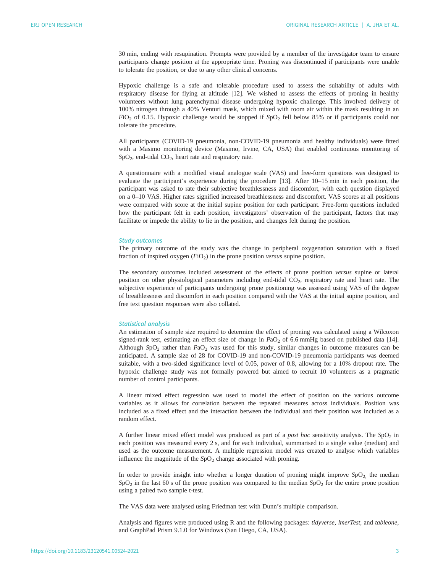30 min, ending with resupination. Prompts were provided by a member of the investigator team to ensure participants change position at the appropriate time. Proning was discontinued if participants were unable to tolerate the position, or due to any other clinical concerns.

Hypoxic challenge is a safe and tolerable procedure used to assess the suitability of adults with respiratory disease for flying at altitude [\[12](#page-10-0)]. We wished to assess the effects of proning in healthy volunteers without lung parenchymal disease undergoing hypoxic challenge. This involved delivery of 100% nitrogen through a 40% Venturi mask, which mixed with room air within the mask resulting in an  $FiO<sub>2</sub>$  of 0.15. Hypoxic challenge would be stopped if  $SpO<sub>2</sub>$  fell below 85% or if participants could not tolerate the procedure.

All participants (COVID-19 pneumonia, non-COVID-19 pneumonia and healthy individuals) were fitted with a Masimo monitoring device (Masimo, Irvine, CA, USA) that enabled continuous monitoring of  $SpO<sub>2</sub>$ , end-tidal  $CO<sub>2</sub>$ , heart rate and respiratory rate.

A questionnaire with a modified visual analogue scale (VAS) and free-form questions was designed to evaluate the participant's experience during the procedure [\[13](#page-10-0)]. After 10–15 min in each position, the participant was asked to rate their subjective breathlessness and discomfort, with each question displayed on a 0–10 VAS. Higher rates signified increased breathlessness and discomfort. VAS scores at all positions were compared with score at the initial supine position for each participant. Free-form questions included how the participant felt in each position, investigators' observation of the participant, factors that may facilitate or impede the ability to lie in the position, and changes felt during the position.

#### Study outcomes

The primary outcome of the study was the change in peripheral oxygenation saturation with a fixed fraction of inspired oxygen  $(FiO<sub>2</sub>)$  in the prone position versus supine position.

The secondary outcomes included assessment of the effects of prone position versus supine or lateral position on other physiological parameters including end-tidal CO<sub>2</sub>, respiratory rate and heart rate. The subjective experience of participants undergoing prone positioning was assessed using VAS of the degree of breathlessness and discomfort in each position compared with the VAS at the initial supine position, and free text question responses were also collated.

#### Statistical analysis

An estimation of sample size required to determine the effect of proning was calculated using a Wilcoxon signed-rank test, estimating an effect size of change in  $PaO<sub>2</sub>$  of 6.6 mmHg based on published data [[14\]](#page-10-0). Although SpO<sub>2</sub> rather than  $PaO<sub>2</sub>$  was used for this study, similar changes in outcome measures can be anticipated. A sample size of 28 for COVID-19 and non-COVID-19 pneumonia participants was deemed suitable, with a two-sided significance level of 0.05, power of 0.8, allowing for a 10% dropout rate. The hypoxic challenge study was not formally powered but aimed to recruit 10 volunteers as a pragmatic number of control participants.

A linear mixed effect regression was used to model the effect of position on the various outcome variables as it allows for correlation between the repeated measures across individuals. Position was included as a fixed effect and the interaction between the individual and their position was included as a random effect.

A further linear mixed effect model was produced as part of a post hoc sensitivity analysis. The  $SpO<sub>2</sub>$  in each position was measured every 2 s, and for each individual, summarised to a single value (median) and used as the outcome measurement. A multiple regression model was created to analyse which variables influence the magnitude of the  $SpO<sub>2</sub>$  change associated with proning.

In order to provide insight into whether a longer duration of proning might improve  $SpO<sub>2</sub>$ , the median  $SpO<sub>2</sub>$  in the last 60 s of the prone position was compared to the median  $SpO<sub>2</sub>$  for the entire prone position using a paired two sample t-test.

The VAS data were analysed using Friedman test with Dunn's multiple comparison.

Analysis and figures were produced using R and the following packages: tidyverse, lmerTest, and tableone, and GraphPad Prism 9.1.0 for Windows (San Diego, CA, USA).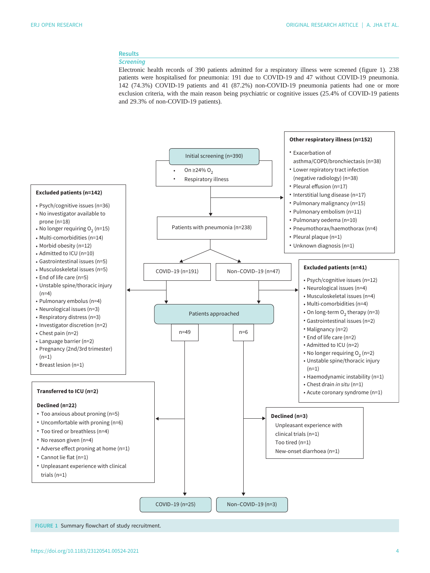## Results

## **Screening**

Electronic health records of 390 patients admitted for a respiratory illness were screened (figure 1). 238 patients were hospitalised for pneumonia: 191 due to COVID-19 and 47 without COVID-19 pneumonia. 142 (74.3%) COVID-19 patients and 41 (87.2%) non-COVID-19 pneumonia patients had one or more exclusion criteria, with the main reason being psychiatric or cognitive issues (25.4% of COVID-19 patients and 29.3% of non-COVID-19 patients).



FIGURE 1 Summary flowchart of study recruitment.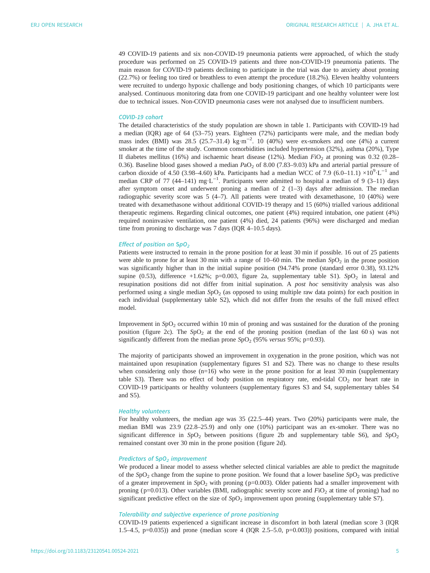49 COVID-19 patients and six non-COVID-19 pneumonia patients were approached, of which the study procedure was performed on 25 COVID-19 patients and three non-COVID-19 pneumonia patients. The main reason for COVID-19 patients declining to participate in the trial was due to anxiety about proning (22.7%) or feeling too tired or breathless to even attempt the procedure (18.2%). Eleven healthy volunteers were recruited to undergo hypoxic challenge and body positioning changes, of which 10 participants were analysed. Continuous monitoring data from one COVID-19 participant and one healthy volunteer were lost due to technical issues. Non-COVID pneumonia cases were not analysed due to insufficient numbers.

## COVID-19 cohort

The detailed characteristics of the study population are shown in [table 1](#page-5-0). Participants with COVID-19 had a median (IQR) age of 64 (53–75) years. Eighteen (72%) participants were male, and the median body mass index (BMI) was 28.5 (25.7–31.4) kg·m<sup>-2</sup>. 10 (40%) were ex-smokers and one (4%) a current smoker at the time of the study. Common comorbidities included hypertension (32%), asthma (20%), Type II diabetes mellitus (16%) and ischaemic heart disease (12%). Median  $FiO<sub>2</sub>$  at proning was 0.32 (0.28– 0.36). Baseline blood gases showed a median  $PaO<sub>2</sub>$  of 8.00 (7.83–9.03) kPa and arterial partial pressure of carbon dioxide of 4.50 (3.98–4.60) kPa. Participants had a median WCC of 7.9 (6.0–11.1) ×10<sup>9</sup>·L<sup>-1</sup> and median CRP of 77 (44–141) mg⋅L<sup>-1</sup>. Participants were admitted to hospital a median of 9 (3–11) days after symptom onset and underwent proning a median of  $2(1-3)$  days after admission. The median radiographic severity score was 5 (4–7). All patients were treated with dexamethasone, 10 (40%) were treated with dexamethasone without additional COVID-19 therapy and 15 (60%) trialled various additional therapeutic regimens. Regarding clinical outcomes, one patient (4%) required intubation, one patient (4%) required noninvasive ventilation, one patient (4%) died, 24 patients (96%) were discharged and median time from proning to discharge was 7 days (IQR 4–10.5 days).

## Effect of position on  $SpO<sub>2</sub>$

Patients were instructed to remain in the prone position for at least 30 min if possible. 16 out of 25 patients were able to prone for at least 30 min with a range of  $10-60$  min. The median  $SpO<sub>2</sub>$  in the prone position was significantly higher than in the initial supine position (94.74% prone (standard error 0.38), 93.12% supine (0.53), difference +1.62%; p=0.003, [figure 2a](#page-7-0), [supplementary table S1\)](http://openres.ersjournals.com/lookup/doi/10.1183/23120541.00524-2021.figures-only#fig-data-supplementary-materials). SpO<sub>2</sub> in lateral and resupination positions did not differ from initial supination. A post hoc sensitivity analysis was also performed using a single median  $SpO<sub>2</sub>$  (as opposed to using multiple raw data points) for each position in each individual [\(supplementary table S2](http://openres.ersjournals.com/lookup/doi/10.1183/23120541.00524-2021.figures-only#fig-data-supplementary-materials)), which did not differ from the results of the full mixed effect model.

Improvement in  $SpO<sub>2</sub>$  occurred within 10 min of proning and was sustained for the duration of the proning position ([figure 2c](#page-7-0)). The  $SpO<sub>2</sub>$  at the end of the proning position (median of the last 60 s) was not significantly different from the median prone  $SpO<sub>2</sub>$  (95% versus 95%; p=0.93).

The majority of participants showed an improvement in oxygenation in the prone position, which was not maintained upon resupination [\(supplementary figures S1 and S2](http://openres.ersjournals.com/lookup/doi/10.1183/23120541.00524-2021.figures-only#fig-data-supplementary-materials)). There was no change to these results when considering only those  $(n=16)$  who were in the prone position for at least 30 min [\(supplementary](http://openres.ersjournals.com/lookup/doi/10.1183/23120541.00524-2021.figures-only#fig-data-supplementary-materials) [table S3\)](http://openres.ersjournals.com/lookup/doi/10.1183/23120541.00524-2021.figures-only#fig-data-supplementary-materials). There was no effect of body position on respiratory rate, end-tidal  $CO<sub>2</sub>$  nor heart rate in COVID-19 participants or healthy volunteers ([supplementary figures S3 and S4, supplementary tables S4](http://openres.ersjournals.com/lookup/doi/10.1183/23120541.00524-2021.figures-only#fig-data-supplementary-materials) [and S5\)](http://openres.ersjournals.com/lookup/doi/10.1183/23120541.00524-2021.figures-only#fig-data-supplementary-materials).

### Healthy volunteers

For healthy volunteers, the median age was 35 (22.5–44) years. Two (20%) participants were male, the median BMI was 23.9 (22.8–25.9) and only one (10%) participant was an ex-smoker. There was no significant difference in  $SpO<sub>2</sub>$  between positions [\(figure 2b](#page-7-0) and [supplementary table S6\)](http://openres.ersjournals.com/lookup/doi/10.1183/23120541.00524-2021.figures-only#fig-data-supplementary-materials), and  $SpO<sub>2</sub>$ remained constant over 30 min in the prone position ([figure 2d](#page-7-0)).

## Predictors of  $SpO<sub>2</sub>$  improvement

We produced a linear model to assess whether selected clinical variables are able to predict the magnitude of the  $SpO<sub>2</sub>$  change from the supine to prone position. We found that a lower baseline  $SpO<sub>2</sub>$  was predictive of a greater improvement in  $SpO<sub>2</sub>$  with proning ( $p=0.003$ ). Older patients had a smaller improvement with proning ( $p=0.013$ ). Other variables (BMI, radiographic severity score and  $FiO<sub>2</sub>$  at time of proning) had no significant predictive effect on the size of  $SpO<sub>2</sub>$  improvement upon proning [\(supplementary table S7\)](http://openres.ersjournals.com/lookup/doi/10.1183/23120541.00524-2021.figures-only#fig-data-supplementary-materials).

#### Tolerability and subjective experience of prone positioning

COVID-19 patients experienced a significant increase in discomfort in both lateral (median score 3 (IQR 1.5–4.5, p=0.035)) and prone (median score 4 (IQR 2.5–5.0, p=0.003)) positions, compared with initial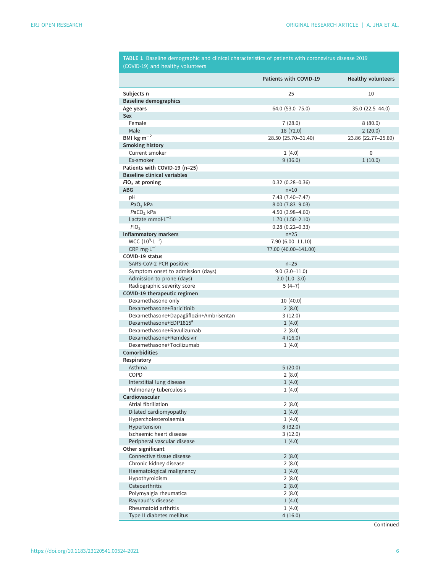<span id="page-5-0"></span>

|                                           | Patients with COVID-19      | <b>Healthy volunteers</b> |
|-------------------------------------------|-----------------------------|---------------------------|
| Subjects n                                | 25                          | 10                        |
| <b>Baseline demographics</b>              |                             |                           |
| Age years                                 | 64.0 (53.0-75.0)            | 35.0 (22.5-44.0)          |
| Sex                                       |                             |                           |
| Female                                    | 7(28.0)                     | 8(80.0)                   |
| Male                                      | 18 (72.0)                   | 2(20.0)                   |
| BMI $kg·m-2$                              | 28.50 (25.70-31.40)         | 23.86 (22.77-25.89)       |
| <b>Smoking history</b>                    |                             |                           |
| Current smoker                            | 1(4.0)                      | 0                         |
| Ex-smoker                                 | 9(36.0)                     | 1(10.0)                   |
| Patients with COVID-19 (n=25)             |                             |                           |
| <b>Baseline clinical variables</b>        |                             |                           |
| $FIO2$ at proning                         | $0.32$ (0.28-0.36)          |                           |
| <b>ABG</b>                                | $n=10$                      |                           |
| pH                                        | 7.43 (7.40-7.47)            |                           |
| $PaO2$ kPa                                | 8.00 (7.83-9.03)            |                           |
| PaCO <sub>2</sub> kPa                     | 4.50 (3.98-4.60)            |                           |
| Lactate mmol $L^{-1}$<br>FiO <sub>2</sub> | $1.70(1.50 - 2.10)$         |                           |
| Inflammatory markers                      | $0.28(0.22 - 0.33)$         |                           |
| $WCC (109·L-1)$                           | $n=25$<br>7.90 (6.00-11.10) |                           |
| CRP $mg \cdot L^{-1}$                     | 77.00 (40.00-141.00)        |                           |
| COVID-19 status                           |                             |                           |
| SARS-CoV-2 PCR positive                   | $n=25$                      |                           |
| Symptom onset to admission (days)         | $9.0(3.0-11.0)$             |                           |
| Admission to prone (days)                 | $2.0(1.0-3.0)$              |                           |
| Radiographic severity score               | $5(4-7)$                    |                           |
| COVID-19 therapeutic regimen              |                             |                           |
| Dexamethasone only                        | 10 (40.0)                   |                           |
| Dexamethasone+Baricitinib                 | 2(8.0)                      |                           |
| Dexamethasone+Dapagliflozin+Ambrisentan   | 3(12.0)                     |                           |
| Dexamethasone+EDP1815#                    | 1(4.0)                      |                           |
| Dexamethasone+Ravulizumab                 | 2(8.0)                      |                           |
| Dexamethasone+Remdesivir                  | 4(16.0)                     |                           |
| Dexamethasone+Tocilizumab                 | 1(4.0)                      |                           |
| Comorbidities                             |                             |                           |
| Respiratory                               |                             |                           |
| Asthma                                    | 5(20.0)                     |                           |
| <b>COPD</b>                               | 2(8.0)                      |                           |
| Interstitial lung disease                 | 1(4.0)                      |                           |
| Pulmonary tuberculosis                    | 1(4.0)                      |                           |
| Cardiovascular                            |                             |                           |
| Atrial fibrillation                       | 2(8.0)                      |                           |
| Dilated cardiomyopathy                    | 1(4.0)                      |                           |
| Hypercholesterolaemia                     | 1(4.0)                      |                           |
| Hypertension                              | 8(32.0)                     |                           |
| Ischaemic heart disease                   | 3(12.0)                     |                           |
| Peripheral vascular disease               | 1(4.0)                      |                           |
| Other significant                         |                             |                           |
| Connective tissue disease                 | 2(8.0)                      |                           |
| Chronic kidney disease                    | 2(8.0)                      |                           |
| Haematological malignancy                 | 1(4.0)                      |                           |
| Hypothyroidism                            | 2(8.0)                      |                           |
| Osteoarthritis                            | 2(8.0)                      |                           |
|                                           |                             |                           |
| Polymyalgia rheumatica                    | 2(8.0)                      |                           |
| Raynaud's disease<br>Rheumatoid arthritis | 1(4.0)<br>1(4.0)            |                           |

TABLE 1 Baseline demographic and clinical characteristics of patients with coronavirus disease 2019

**Continued**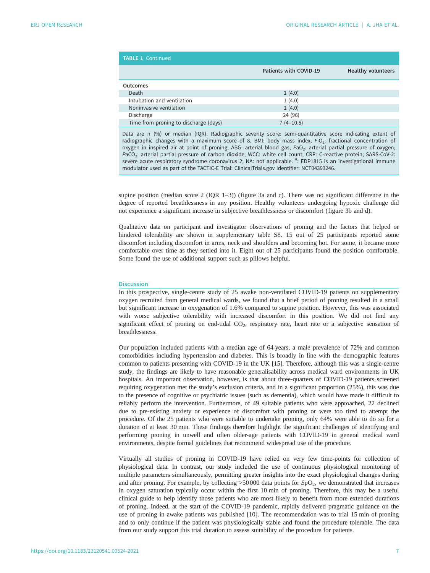| <b>TABLE 1 Continued</b>              |                        |                           |  |
|---------------------------------------|------------------------|---------------------------|--|
|                                       | Patients with COVID-19 | <b>Healthy volunteers</b> |  |
| <b>Outcomes</b>                       |                        |                           |  |
| Death                                 | 1(4.0)                 |                           |  |
| Intubation and ventilation            | 1(4.0)                 |                           |  |
| Noninvasive ventilation               | 1(4.0)                 |                           |  |
| Discharge                             | 24 (96)                |                           |  |
| Time from proning to discharge (days) | $7(4-10.5)$            |                           |  |

Data are n (%) or median (IQR). Radiographic severity score: semi-quantitative score indicating extent of radiographic changes with a maximum score of 8. BMI: body mass index; FiO<sub>2</sub>: fractional concentration of oxygen in inspired air at point of proning; ABG: arterial blood gas; PaO<sub>2</sub>: arterial partial pressure of oxygen; PaCO<sub>2</sub>: arterial partial pressure of carbon dioxide; WCC: white cell count; CRP: C-reactive protein; SARS-CoV-2: severe acute respiratory syndrome coronavirus 2; NA: not applicable. <sup>#</sup>: EDP1815 is an investigational immune modulator used as part of the TACTIC-E Trial: ClinicalTrials.gov Identifier: NCT04393246.

supine position (median score 2 (IQR 1–3)) ([figure 3a](#page-8-0) and c). There was no significant difference in the degree of reported breathlessness in any position. Healthy volunteers undergoing hypoxic challenge did not experience a significant increase in subjective breathlessness or discomfort [\(figure 3b](#page-8-0) and d).

Qualitative data on participant and investigator observations of proning and the factors that helped or hindered tolerability are shown in [supplementary table S8.](http://openres.ersjournals.com/lookup/doi/10.1183/23120541.00524-2021.figures-only#fig-data-supplementary-materials) 15 out of 25 participants reported some discomfort including discomfort in arms, neck and shoulders and becoming hot. For some, it became more comfortable over time as they settled into it. Eight out of 25 participants found the position comfortable. Some found the use of additional support such as pillows helpful.

#### **Discussion**

In this prospective, single-centre study of 25 awake non-ventilated COVID-19 patients on supplementary oxygen recruited from general medical wards, we found that a brief period of proning resulted in a small but significant increase in oxygenation of 1.6% compared to supine position. However, this was associated with worse subjective tolerability with increased discomfort in this position. We did not find any significant effect of proning on end-tidal  $CO<sub>2</sub>$ , respiratory rate, heart rate or a subjective sensation of breathlessness.

Our population included patients with a median age of 64 years, a male prevalence of 72% and common comorbidities including hypertension and diabetes. This is broadly in line with the demographic features common to patients presenting with COVID-19 in the UK [[15](#page-10-0)]. Therefore, although this was a single-centre study, the findings are likely to have reasonable generalisability across medical ward environments in UK hospitals. An important observation, however, is that about three-quarters of COVID-19 patients screened requiring oxygenation met the study's exclusion criteria, and in a significant proportion (25%), this was due to the presence of cognitive or psychiatric issues (such as dementia), which would have made it difficult to reliably perform the intervention. Furthermore, of 49 suitable patients who were approached, 22 declined due to pre-existing anxiety or experience of discomfort with proning or were too tired to attempt the procedure. Of the 25 patients who were suitable to undertake proning, only 64% were able to do so for a duration of at least 30 min. These findings therefore highlight the significant challenges of identifying and performing proning in unwell and often older-age patients with COVID-19 in general medical ward environments, despite formal guidelines that recommend widespread use of the procedure.

Virtually all studies of proning in COVID-19 have relied on very few time-points for collection of physiological data. In contrast, our study included the use of continuous physiological monitoring of multiple parameters simultaneously, permitting greater insights into the exact physiological changes during and after proning. For example, by collecting  $>50000$  data points for  $SpO<sub>2</sub>$ , we demonstrated that increases in oxygen saturation typically occur within the first 10 min of proning. Therefore, this may be a useful clinical guide to help identify those patients who are most likely to benefit from more extended durations of proning. Indeed, at the start of the COVID-19 pandemic, rapidly delivered pragmatic guidance on the use of proning in awake patients was published [[10\]](#page-10-0). The recommendation was to trial 15 min of proning and to only continue if the patient was physiologically stable and found the procedure tolerable. The data from our study support this trial duration to assess suitability of the procedure for patients.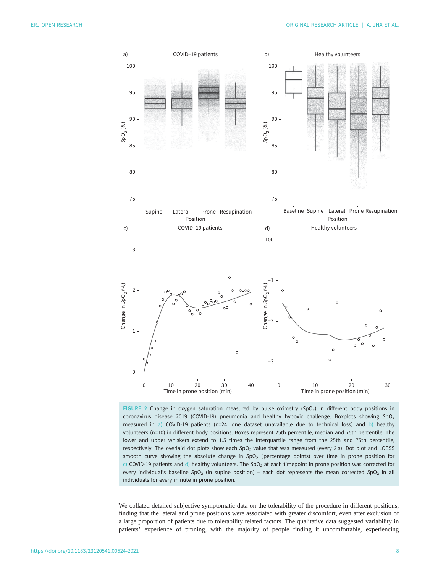<span id="page-7-0"></span>![](_page_7_Figure_2.jpeg)

FIGURE 2 Change in oxygen saturation measured by pulse oximetry ( $SpO<sub>2</sub>$ ) in different body positions in coronavirus disease 2019 (COVID-19) pneumonia and healthy hypoxic challenge. Boxplots showing  $SpO<sub>2</sub>$ measured in a) COVID-19 patients (n=24, one dataset unavailable due to technical loss) and b) healthy volunteers (n=10) in different body positions. Boxes represent 25th percentile, median and 75th percentile. The lower and upper whiskers extend to 1.5 times the interquartile range from the 25th and 75th percentile, respectively. The overlaid dot plots show each SpO<sub>2</sub> value that was measured (every 2 s). Dot plot and LOESS smooth curve showing the absolute change in  $SpO<sub>2</sub>$  (percentage points) over time in prone position for c) COVID-19 patients and d) healthy volunteers. The SpO<sub>2</sub> at each timepoint in prone position was corrected for every individual's baseline SpO<sub>2</sub> (in supine position) – each dot represents the mean corrected SpO<sub>2</sub> in all individuals for every minute in prone position.

We collated detailed subjective symptomatic data on the tolerability of the procedure in different positions, finding that the lateral and prone positions were associated with greater discomfort, even after exclusion of a large proportion of patients due to tolerability related factors. The qualitative data suggested variability in patients' experience of proning, with the majority of people finding it uncomfortable, experiencing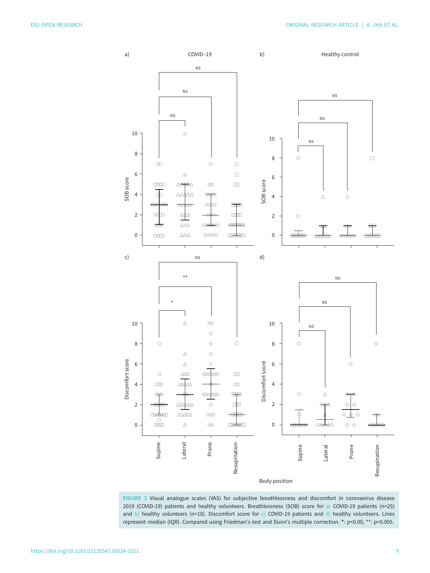<span id="page-8-0"></span>![](_page_8_Figure_2.jpeg)

FIGURE 3 Visual analogue scales (VAS) for subjective breathlessness and discomfort in coronavirus disease 2019 (COVID-19) patients and healthy volunteers. Breathlessness (SOB) score for a) COVID-19 patients (n=25) and b) healthy volunteers (n=10). Discomfort score for c) COVID-19 patients and d) healthy volunteers. Lines represent median (IQR). Compared using Friedman's test and Dunn's multiple correction. \*: p<0.05; \*\*: p<0.005.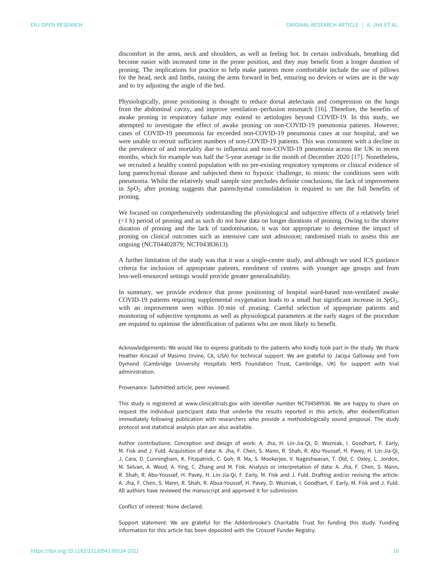discomfort in the arms, neck and shoulders, as well as feeling hot. In certain individuals, breathing did become easier with increased time in the prone position, and they may benefit from a longer duration of proning. The implications for practice to help make patients more comfortable include the use of pillows for the head, neck and limbs, raising the arms forward in bed, ensuring no devices or wires are in the way and to try adjusting the angle of the bed.

Physiologically, prone positioning is thought to reduce dorsal atelectasis and compression on the lungs from the abdominal cavity, and improve ventilation–perfusion mismatch [[16\]](#page-10-0). Therefore, the benefits of awake proning in respiratory failure may extend to aetiologies beyond COVID-19. In this study, we attempted to investigate the effect of awake proning on non-COVID-19 pneumonia patients. However, cases of COVID-19 pneumonia far exceeded non-COVID-19 pneumonia cases at our hospital, and we were unable to recruit sufficient numbers of non-COVID-19 patients. This was consistent with a decline in the prevalence of and mortality due to influenza and non-COVID-19 pneumonia across the UK in recent months, which for example was half the 5-year average in the month of December 2020 [\[17](#page-10-0)]. Nonetheless, we recruited a healthy control population with no pre-existing respiratory symptoms or clinical evidence of lung parenchymal disease and subjected them to hypoxic challenge, to mimic the conditions seen with pneumonia. Whilst the relatively small sample size precludes definite conclusions, the lack of improvement in  $SpO<sub>2</sub>$  after proning suggests that parenchymal consolidation is required to see the full benefits of proning.

We focused on comprehensively understanding the physiological and subjective effects of a relatively brief (<1 h) period of proning and as such do not have data on longer durations of proning. Owing to the shorter duration of proning and the lack of randomisation, it was not appropriate to determine the impact of proning on clinical outcomes such as intensive care unit admission; randomised trials to assess this are ongoing (NCT04402879; NCT04383613).

A further limitation of the study was that it was a single-centre study, and although we used ICS guidance criteria for inclusion of appropriate patients, enrolment of centres with younger age groups and from less-well-resourced settings would provide greater generalisability.

In summary, we provide evidence that prone positioning of hospital ward-based non-ventilated awake COVID-19 patients requiring supplemental oxygenation leads to a small but significant increase in  $SpO<sub>2</sub>$ , with an improvement seen within 10 min of proning. Careful selection of appropriate patients and monitoring of subjective symptoms as well as physiological parameters at the early stages of the procedure are required to optimise the identification of patients who are most likely to benefit.

Acknowledgements: We would like to express gratitude to the patients who kindly took part in the study. We thank Heather Kincaid of Masimo (Irvine, CA, USA) for technical support. We are grateful to Jacqui Galloway and Tom Dymond (Cambridge University Hospitals NHS Foundation Trust, Cambridge, UK) for support with trial administration.

Provenance: Submitted article, peer reviewed.

This study is registered at www.clinicaltrials.gov with identifier number NCT04589936. We are happy to share on request the individual participant data that underlie the results reported in this article, after deidentification immediately following publication with researchers who provide a methodologically sound proposal. The study protocol and statistical analysis plan are also available.

Author contributions: Conception and design of work: A. Jha, H. Lin-Jia-Qi, D. Wozniak, I. Goodhart, F. Early, M. Fisk and J. Fuld. Acquisition of data: A. Jha, F. Chen, S. Mann, R. Shah, R. Abu-Youssef, H. Pavey, H. Lin-Jia-Qi, J. Cara, D. Cunningham, K. Fitzpatrick, C. Goh, R. Ma, S. Mookerjee, V. Nageshwaran, T. Old, C. Oxley, L. Jordon, M. Selvan, A. Wood, A. Ying, C. Zhang and M. Fisk. Analysis or interpretation of data: A. Jha, F. Chen, S. Mann, R. Shah, R. Abu-Youssef, H. Pavey, H. Lin-Jia-Qi, F. Early, M. Fisk and J. Fuld. Drafting and/or revising the article: A. Jha, F. Chen, S. Mann, R. Shah, R. Abua-Youssef, H. Pavey, D. Wozniak, I. Goodhart, F. Early, M. Fisk and J. Fuld. All authors have reviewed the manuscript and approved it for submission.

Conflict of interest: None declared.

Support statement: We are grateful for the Addenbrooke's Charitable Trust for funding this study. Funding information for this article has been deposited with the [Crossref Funder Registry.](https://www.crossref.org/services/funder-registry/)